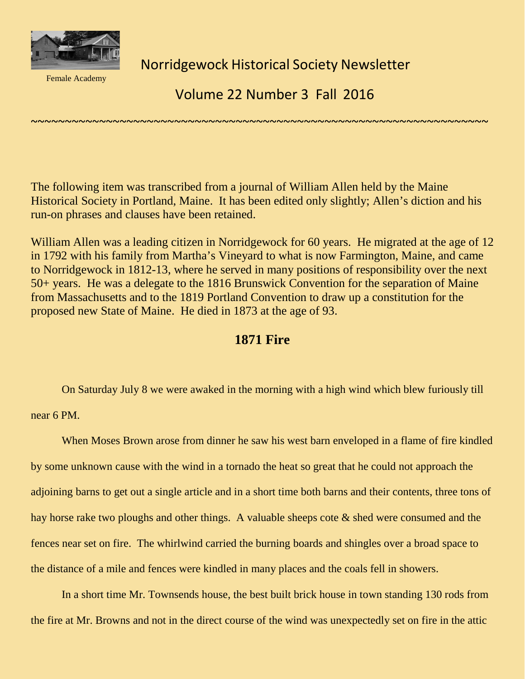

Female Academy

Norridgewock Historical Society Newsletter

Volume 22 Number 3 Fall 2016

The following item was transcribed from a journal of William Allen held by the Maine Historical Society in Portland, Maine. It has been edited only slightly; Allen's diction and his run-on phrases and clauses have been retained.

~~~~~~~~~~~~~~~~~~~~~~~~~~~~~~~~~~~~~~~~~~~~~~~~~~~~~~~~~~~~~~~~~~~

William Allen was a leading citizen in Norridgewock for 60 years. He migrated at the age of 12 in 1792 with his family from Martha's Vineyard to what is now Farmington, Maine, and came to Norridgewock in 1812-13, where he served in many positions of responsibility over the next 50+ years. He was a delegate to the 1816 Brunswick Convention for the separation of Maine from Massachusetts and to the 1819 Portland Convention to draw up a constitution for the proposed new State of Maine. He died in 1873 at the age of 93.

## **1871 Fire**

On Saturday July 8 we were awaked in the morning with a high wind which blew furiously till

near 6 PM.

When Moses Brown arose from dinner he saw his west barn enveloped in a flame of fire kindled by some unknown cause with the wind in a tornado the heat so great that he could not approach the adjoining barns to get out a single article and in a short time both barns and their contents, three tons of hay horse rake two ploughs and other things. A valuable sheeps cote & shed were consumed and the fences near set on fire. The whirlwind carried the burning boards and shingles over a broad space to the distance of a mile and fences were kindled in many places and the coals fell in showers.

In a short time Mr. Townsends house, the best built brick house in town standing 130 rods from the fire at Mr. Browns and not in the direct course of the wind was unexpectedly set on fire in the attic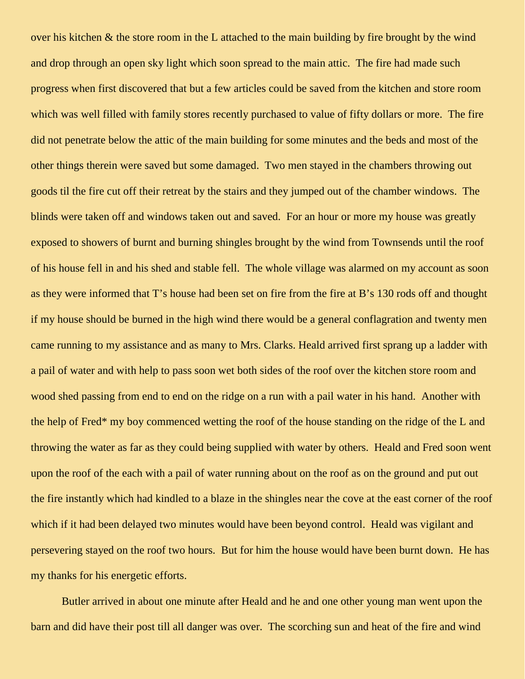over his kitchen & the store room in the L attached to the main building by fire brought by the wind and drop through an open sky light which soon spread to the main attic. The fire had made such progress when first discovered that but a few articles could be saved from the kitchen and store room which was well filled with family stores recently purchased to value of fifty dollars or more. The fire did not penetrate below the attic of the main building for some minutes and the beds and most of the other things therein were saved but some damaged. Two men stayed in the chambers throwing out goods til the fire cut off their retreat by the stairs and they jumped out of the chamber windows. The blinds were taken off and windows taken out and saved. For an hour or more my house was greatly exposed to showers of burnt and burning shingles brought by the wind from Townsends until the roof of his house fell in and his shed and stable fell. The whole village was alarmed on my account as soon as they were informed that T's house had been set on fire from the fire at B's 130 rods off and thought if my house should be burned in the high wind there would be a general conflagration and twenty men came running to my assistance and as many to Mrs. Clarks. Heald arrived first sprang up a ladder with a pail of water and with help to pass soon wet both sides of the roof over the kitchen store room and wood shed passing from end to end on the ridge on a run with a pail water in his hand. Another with the help of Fred\* my boy commenced wetting the roof of the house standing on the ridge of the L and throwing the water as far as they could being supplied with water by others. Heald and Fred soon went upon the roof of the each with a pail of water running about on the roof as on the ground and put out the fire instantly which had kindled to a blaze in the shingles near the cove at the east corner of the roof which if it had been delayed two minutes would have been beyond control. Heald was vigilant and persevering stayed on the roof two hours. But for him the house would have been burnt down. He has my thanks for his energetic efforts.

Butler arrived in about one minute after Heald and he and one other young man went upon the barn and did have their post till all danger was over. The scorching sun and heat of the fire and wind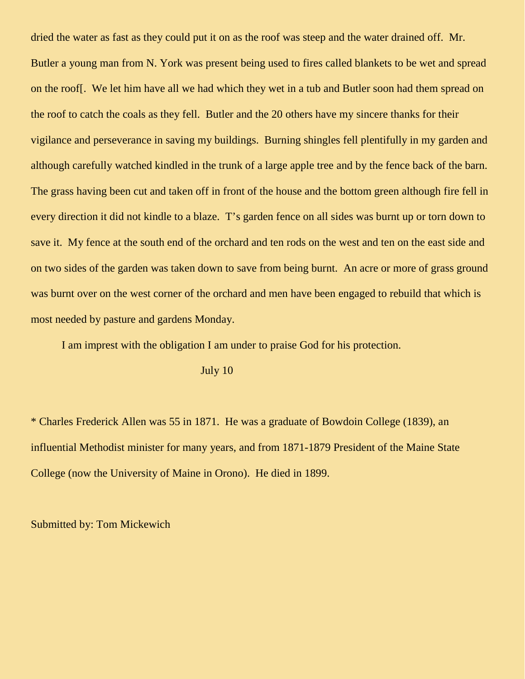dried the water as fast as they could put it on as the roof was steep and the water drained off. Mr. Butler a young man from N. York was present being used to fires called blankets to be wet and spread on the roof[. We let him have all we had which they wet in a tub and Butler soon had them spread on the roof to catch the coals as they fell. Butler and the 20 others have my sincere thanks for their vigilance and perseverance in saving my buildings. Burning shingles fell plentifully in my garden and although carefully watched kindled in the trunk of a large apple tree and by the fence back of the barn. The grass having been cut and taken off in front of the house and the bottom green although fire fell in every direction it did not kindle to a blaze. T's garden fence on all sides was burnt up or torn down to save it. My fence at the south end of the orchard and ten rods on the west and ten on the east side and on two sides of the garden was taken down to save from being burnt. An acre or more of grass ground was burnt over on the west corner of the orchard and men have been engaged to rebuild that which is most needed by pasture and gardens Monday.

I am imprest with the obligation I am under to praise God for his protection.

July 10

\* Charles Frederick Allen was 55 in 1871. He was a graduate of Bowdoin College (1839), an influential Methodist minister for many years, and from 1871-1879 President of the Maine State College (now the University of Maine in Orono). He died in 1899.

Submitted by: Tom Mickewich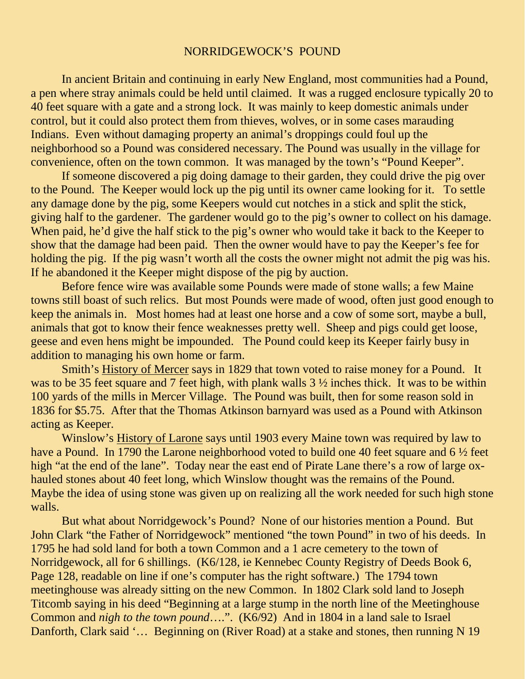## NORRIDGEWOCK'S POUND

In ancient Britain and continuing in early New England, most communities had a Pound, a pen where stray animals could be held until claimed. It was a rugged enclosure typically 20 to 40 feet square with a gate and a strong lock. It was mainly to keep domestic animals under control, but it could also protect them from thieves, wolves, or in some cases marauding Indians. Even without damaging property an animal's droppings could foul up the neighborhood so a Pound was considered necessary. The Pound was usually in the village for convenience, often on the town common. It was managed by the town's "Pound Keeper".

If someone discovered a pig doing damage to their garden, they could drive the pig over to the Pound. The Keeper would lock up the pig until its owner came looking for it. To settle any damage done by the pig, some Keepers would cut notches in a stick and split the stick, giving half to the gardener. The gardener would go to the pig's owner to collect on his damage. When paid, he'd give the half stick to the pig's owner who would take it back to the Keeper to show that the damage had been paid. Then the owner would have to pay the Keeper's fee for holding the pig. If the pig wasn't worth all the costs the owner might not admit the pig was his. If he abandoned it the Keeper might dispose of the pig by auction.

Before fence wire was available some Pounds were made of stone walls; a few Maine towns still boast of such relics. But most Pounds were made of wood, often just good enough to keep the animals in. Most homes had at least one horse and a cow of some sort, maybe a bull, animals that got to know their fence weaknesses pretty well. Sheep and pigs could get loose, geese and even hens might be impounded. The Pound could keep its Keeper fairly busy in addition to managing his own home or farm.

Smith's History of Mercer says in 1829 that town voted to raise money for a Pound. It was to be 35 feet square and 7 feet high, with plank walls  $3\frac{1}{2}$  inches thick. It was to be within 100 yards of the mills in Mercer Village. The Pound was built, then for some reason sold in 1836 for \$5.75. After that the Thomas Atkinson barnyard was used as a Pound with Atkinson acting as Keeper.

Winslow's History of Larone says until 1903 every Maine town was required by law to have a Pound. In 1790 the Larone neighborhood voted to build one 40 feet square and 6  $\frac{1}{2}$  feet high "at the end of the lane". Today near the east end of Pirate Lane there's a row of large oxhauled stones about 40 feet long, which Winslow thought was the remains of the Pound. Maybe the idea of using stone was given up on realizing all the work needed for such high stone walls.

But what about Norridgewock's Pound? None of our histories mention a Pound. But John Clark "the Father of Norridgewock" mentioned "the town Pound" in two of his deeds. In 1795 he had sold land for both a town Common and a 1 acre cemetery to the town of Norridgewock, all for 6 shillings. (K6/128, ie Kennebec County Registry of Deeds Book 6, Page 128, readable on line if one's computer has the right software.) The 1794 town meetinghouse was already sitting on the new Common. In 1802 Clark sold land to Joseph Titcomb saying in his deed "Beginning at a large stump in the north line of the Meetinghouse Common and *nigh to the town pound*….". (K6/92) And in 1804 in a land sale to Israel Danforth, Clark said '... Beginning on (River Road) at a stake and stones, then running N 19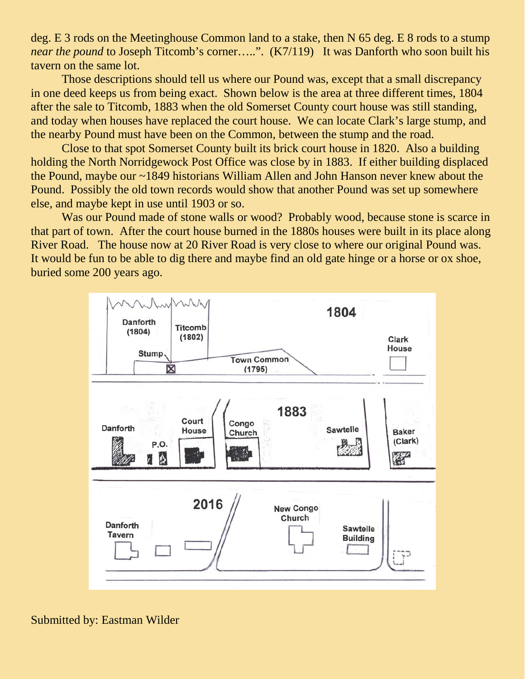deg. E 3 rods on the Meetinghouse Common land to a stake, then N 65 deg. E 8 rods to a stump *near the pound* to Joseph Titcomb's corner…..". (K7/119) It was Danforth who soon built his tavern on the same lot.

Those descriptions should tell us where our Pound was, except that a small discrepancy in one deed keeps us from being exact. Shown below is the area at three different times, 1804 after the sale to Titcomb, 1883 when the old Somerset County court house was still standing, and today when houses have replaced the court house. We can locate Clark's large stump, and the nearby Pound must have been on the Common, between the stump and the road.

Close to that spot Somerset County built its brick court house in 1820. Also a building holding the North Norridgewock Post Office was close by in 1883. If either building displaced the Pound, maybe our ~1849 historians William Allen and John Hanson never knew about the Pound. Possibly the old town records would show that another Pound was set up somewhere else, and maybe kept in use until 1903 or so.

Was our Pound made of stone walls or wood? Probably wood, because stone is scarce in that part of town. After the court house burned in the 1880s houses were built in its place along River Road. The house now at 20 River Road is very close to where our original Pound was. It would be fun to be able to dig there and maybe find an old gate hinge or a horse or ox shoe, buried some 200 years ago.



Submitted by: Eastman Wilder